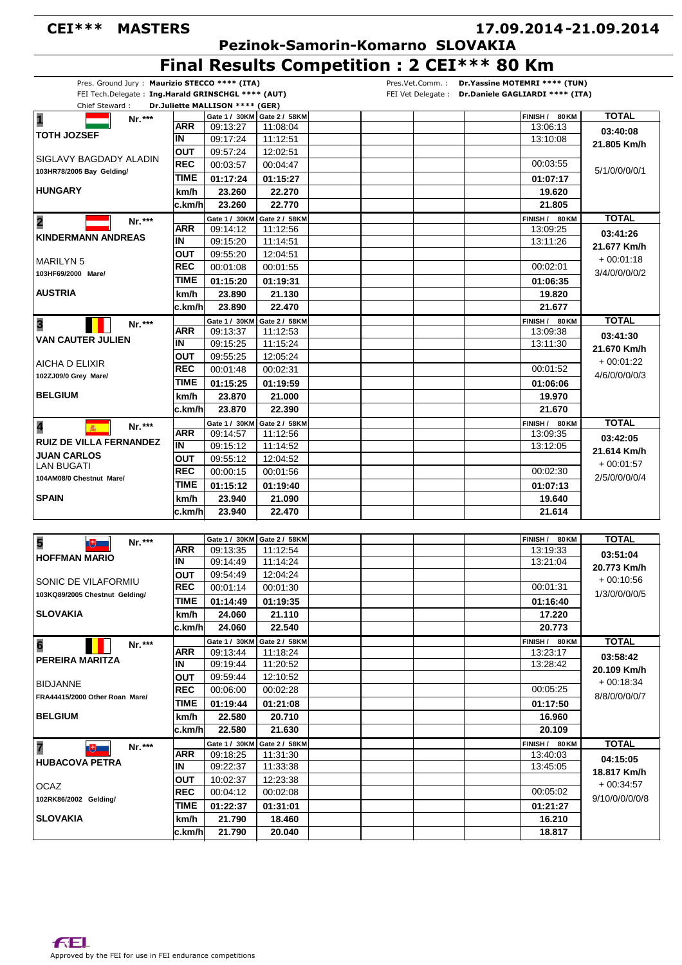## **CEI\*\*\* MASTERS**

# **17.09.2014 21.09.2014 -**

 **Pezinok-Samorin-Komarno SLOVAKIA**

**Final Results Competition : 2 CEI\*\*\* 80 Km**

| Chief Steward:                                   |             | FEI Tech.Delegate: Ing.Harald GRINSCHGL **** (AUT)<br>Dr.Juliette MALLISON **** (GER) |                               |                          |                |
|--------------------------------------------------|-------------|---------------------------------------------------------------------------------------|-------------------------------|--------------------------|----------------|
| $\overline{\mathbf{1}}$                          |             |                                                                                       | Gate 1 / 30KM   Gate 2 / 58KM | FINISH / 80 KM           | <b>TOTAL</b>   |
| Nr.***                                           | ARR         | 09:13:27                                                                              | 11:08:04                      | 13:06:13                 |                |
| <b>TOTH JOZSEF</b>                               | ΙN          | 09:17:24                                                                              | 11:12:51                      | 13:10:08                 | 03:40:08       |
|                                                  | <b>OUT</b>  | 09:57:24                                                                              | 12:02:51                      |                          | 21.805 Km/h    |
| SIGLAVY BAGDADY ALADIN                           | <b>REC</b>  | 00:03:57                                                                              | 00:04:47                      | 00:03:55                 |                |
| 103HR78/2005 Bay Gelding/                        | TIME        | 01:17:24                                                                              | 01:15:27                      | 01:07:17                 | 5/1/0/0/0/0/1  |
| <b>HUNGARY</b>                                   |             |                                                                                       |                               |                          |                |
|                                                  | km/h        | 23.260                                                                                | 22.270                        | 19.620                   |                |
|                                                  | c.km/h      | 23.260                                                                                | 22.770                        | 21.805                   |                |
| $\overline{\mathbf{2}}$<br>Nr.***                |             | Gate 1 / 30KM                                                                         | Gate 2 / 58KM                 | FINISH / 80 KM           | <b>TOTAL</b>   |
| <b>KINDERMANN ANDREAS</b>                        | ARR         | 09:14:12                                                                              | 11:12:56                      | 13:09:25                 | 03:41:26       |
|                                                  | IN          | 09:15:20                                                                              | 11:14:51                      | 13:11:26                 | 21.677 Km/h    |
| <b>MARILYN 5</b>                                 | <b>OUT</b>  | 09:55:20                                                                              | 12:04:51                      |                          | $+00:01:18$    |
| 103HF69/2000 Mare/                               | <b>REC</b>  | 00:01:08                                                                              | 00:01:55                      | 00:02:01                 | 3/4/0/0/0/0/2  |
|                                                  | <b>TIME</b> | 01:15:20                                                                              | 01:19:31                      | 01:06:35                 |                |
| <b>AUSTRIA</b>                                   | km/h        | 23.890                                                                                | 21.130                        | 19.820                   |                |
|                                                  | c.km/h      | 23.890                                                                                | 22.470                        | 21.677                   |                |
| Nr.***                                           |             | Gate 1 / 30KM                                                                         | Gate 2 / 58KM                 | FINISH / 80 KM           | <b>TOTAL</b>   |
| $\overline{\mathbf{3}}$                          | ARR         | 09:13:37                                                                              | 11:12:53                      | 13:09:38                 | 03:41:30       |
| <b>VAN CAUTER JULIEN</b>                         | IN          | 09:15:25                                                                              | 11:15:24                      | 13:11:30                 | 21.670 Km/h    |
|                                                  | OUT         | 09:55:25                                                                              | 12:05:24                      |                          | $+00:01:22$    |
| AICHA D ELIXIR                                   | <b>REC</b>  | 00:01:48                                                                              | 00:02:31                      | 00:01:52                 |                |
| 102ZJ09/0 Grey Mare/                             | TIME        | 01:15:25                                                                              | 01:19:59                      | 01:06:06                 | 4/6/0/0/0/0/3  |
| <b>BELGIUM</b>                                   | km/h        | 23.870                                                                                | 21.000                        | 19.970                   |                |
|                                                  | c.km/h      | 23.870                                                                                | 22.390                        | 21.670                   |                |
|                                                  |             |                                                                                       | Gate 1 / 30KM Gate 2 / 58KM   | FINISH / 80 KM           | <b>TOTAL</b>   |
| $\overline{\mathbf{4}}$<br>Nr.***                | <b>ARR</b>  | 09:14:57                                                                              | 11:12:56                      | 13:09:35                 |                |
| <b>RUIZ DE VILLA FERNANDEZ</b>                   | IN          | 09:15:12                                                                              | 11:14:52                      | 13:12:05                 | 03:42:05       |
| <b>JUAN CARLOS</b>                               | OUT         | 09:55:12                                                                              | 12:04:52                      |                          | 21.614 Km/h    |
| LAN BUGATI                                       | <b>REC</b>  | 00:00:15                                                                              | 00:01:56                      | 00:02:30                 | $+00:01:57$    |
| 104AM08/0 Chestnut Mare/                         | <b>TIME</b> |                                                                                       |                               |                          | 2/5/0/0/0/0/4  |
|                                                  |             | 01:15:12                                                                              | 01:19:40                      | 01:07:13                 |                |
| <b>SPAIN</b>                                     | km/h        | 23.940                                                                                | 21.090                        | 19.640                   |                |
|                                                  | c.km/h      | 23.940                                                                                | 22.470                        | 21.614                   |                |
|                                                  |             |                                                                                       |                               |                          |                |
| 5<br>Nr.***<br>$\mathbb{R}$                      |             |                                                                                       | Gate 1 / 30KM   Gate 2 / 58KM | FINISH /<br><b>80 KM</b> | <b>TOTAL</b>   |
| <b>HOFFMAN MARIO</b>                             | <b>ARR</b>  | 09:13:35                                                                              | 11:12:54                      | 13:19:33                 | 03:51:04       |
|                                                  | IN          | 09:14:49                                                                              | 11:14:24                      | 13:21:04                 | 20.773 Km/h    |
| SONIC DE VILAFORMIU                              | OUT         | 09:54:49                                                                              | 12:04:24                      |                          | $+00.10.56$    |
| 103KQ89/2005 Chestnut Gelding/                   | <b>REC</b>  | 00:01:14                                                                              | 00:01:30                      | 00:01:31                 | 1/3/0/0/0/0/5  |
|                                                  | TIME        | 01:14:49                                                                              | 01:19:35                      | 01:16:40                 |                |
| <b>SLOVAKIA</b>                                  | km/h        | 24.060                                                                                | 21.110                        | 17.220                   |                |
|                                                  | c.km/h      | 24.060                                                                                | 22.540                        | 20.773                   |                |
|                                                  |             | Gate 1 / 30KM                                                                         | Gate 2 / 58KM                 | FINISH / 80 KM           | <b>TOTAL</b>   |
| 6<br>Nr.***                                      | ARR         | 09:13:44                                                                              | 11:18:24                      | 13:23:17                 | 03:58:42       |
| PEREIRA MARITZA                                  | IN          | 09:19:44                                                                              | 11:20:52                      | 13:28:42                 |                |
|                                                  | <b>OUT</b>  | 09:59:44                                                                              | 12:10:52                      |                          | 20.109 Km/h    |
| <b>BIDJANNE</b>                                  | <b>REC</b>  | 00:06:00                                                                              | 00:02:28                      | 00:05:25                 | $+00:18:34$    |
| FRA44415/2000 Other Roan Mare/                   | TIME        | 01:19:44                                                                              | 01:21:08                      | 01:17:50                 | 8/8/0/0/0/0/7  |
| <b>BELGIUM</b>                                   |             | 22.580                                                                                |                               |                          |                |
|                                                  | km/h        |                                                                                       | 20.710                        | 16.960                   |                |
|                                                  | c.km/h      | 22.580                                                                                | 21.630                        | 20.109                   |                |
| 7<br>Nr.***<br>$\mathbb{R}$                      |             | Gate 1 / 30KM                                                                         | Gate 2 / 58KM                 | FINISH / 80 KM           | <b>TOTAL</b>   |
| <b>HUBACOVA PETRA</b>                            | ARR         | 09:18:25                                                                              | 11:31:30                      | 13:40:03                 | 04:15:05       |
|                                                  | IN          | 09:22:37                                                                              | 11:33:38                      | 13 45 05                 | 18.817 Km/h    |
|                                                  | OUT         | 10:02:37                                                                              | 12:23:38                      |                          | $+00:34:57$    |
|                                                  |             |                                                                                       | 00:02:08                      | 00:05:02                 |                |
|                                                  | <b>REC</b>  | 00:04:12                                                                              |                               |                          |                |
|                                                  | <b>TIME</b> | 01:22:37                                                                              | 01:31:01                      | 01:21:27                 | 9/10/0/0/0/0/8 |
| OCAZ<br>102RK86/2002 Gelding/<br><b>SLOVAKIA</b> | km/h        | 21.790                                                                                | 18.460                        | 16.210                   |                |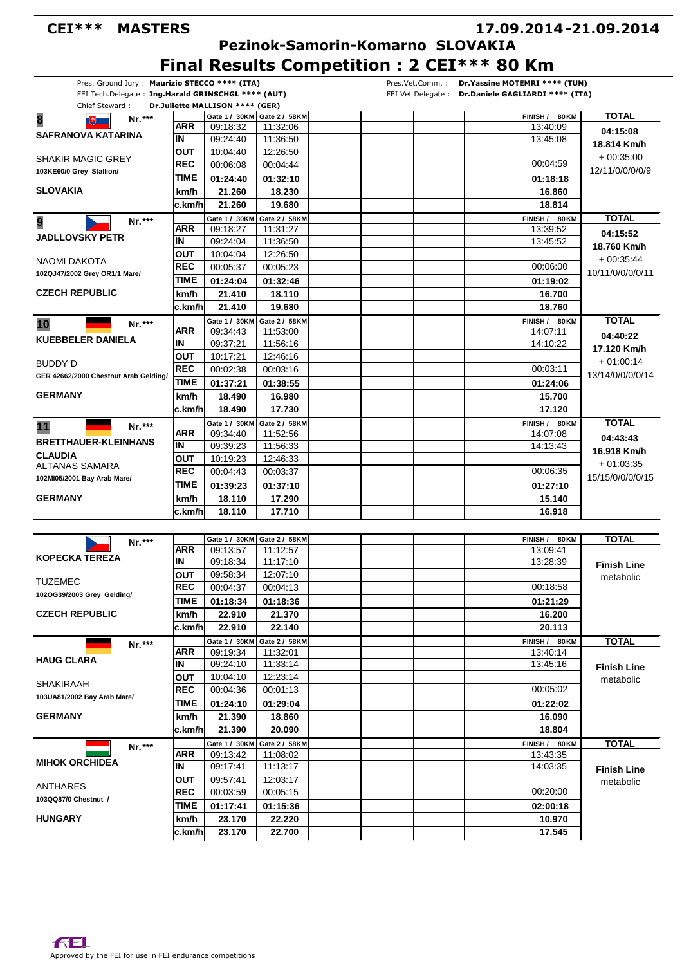## **CEI\*\*\* MASTERS**

## **17.09.2014 21.09.2014 -**

 **Pezinok-Samorin-Komarno SLOVAKIA**

**Final Results Competition : 2 CEI\*\*\* 80 Km**

| Chief Steward:                                                              |                          | Dr.Juliette MALLISON **** (GER) |                                         |                            |                    |
|-----------------------------------------------------------------------------|--------------------------|---------------------------------|-----------------------------------------|----------------------------|--------------------|
| $\overline{\mathbf{8}}$<br>Nr.***<br>Qŧ,                                    | <b>ARR</b>               | 09:18:32                        | Gate 1 / 30KM Gate 2 / 58KM<br>11:32:06 | FINISH / 80 KM<br>13:40:09 | <b>TOTAL</b>       |
| <b>SAFRANOVA KATARINA</b>                                                   | IN                       | 09:24:40                        | 11:36:50                                | 13:45:08                   | 04:15:08           |
|                                                                             | <b>OUT</b>               | 10:04:40                        | 12:26:50                                |                            | 18.814 Km/h        |
| <b>SHAKIR MAGIC GREY</b>                                                    | <b>REC</b>               | 00:06:08                        | 00:04:44                                | 00:04:59                   | $+00.35:00$        |
| 103KE60/0 Grey Stallion/                                                    | TIME                     |                                 |                                         |                            | 12/11/0/0/0/0/9    |
| <b>SLOVAKIA</b>                                                             | km/h                     | 01:24:40                        | 01:32:10                                | 01:18:18                   |                    |
|                                                                             |                          | 21.260<br>21.260                | 18.230<br>19.680                        | 16.860<br>18.814           |                    |
|                                                                             | c.km/h                   |                                 |                                         |                            |                    |
| 9<br>Nr.***                                                                 | ARR                      | Gate 1 / 30KM<br>09:18:27       | Gate 2 / 58KM<br>11:31:27               | FINISH / 80 KM<br>13:39:52 | <b>TOTAL</b>       |
| JADLLOVSKY PETR                                                             | ΙN                       | 09:24:04                        | 11:36:50                                | 13:45:52                   | 04:15:52           |
|                                                                             | OUT                      | 10:04:04                        | 12:26:50                                |                            | 18.760 Km/h        |
| NAOMI DAKOTA                                                                | <b>REC</b>               | 00:05:37                        | 00:05:23                                | 00:06:00                   | $+00:35:44$        |
| 102QJ47/2002 Grey OR1/1 Mare/                                               | <b>TIME</b>              |                                 |                                         |                            | 10/11/0/0/0/0/11   |
|                                                                             |                          | 01:24:04                        | 01:32:46                                | 01:19:02                   |                    |
| <b>CZECH REPUBLIC</b>                                                       | km/h                     | 21.410                          | 18.110                                  | 16.700                     |                    |
|                                                                             | c.km/h                   | 21.410                          | 19.680                                  | 18.760                     |                    |
| 10<br>Nr.***                                                                |                          | Gate 1 / 30KM                   | Gate 2 / 58KM                           | FINISH / 80 KM             | <b>TOTAL</b>       |
| <b>KUEBBELER DANIELA</b>                                                    | ARR<br>IN                | 09:34:43<br>09:37:21            | 11:53:00<br>11:56:16                    | 14:07:11                   | 04:40:22           |
|                                                                             |                          |                                 |                                         | 14:10:22                   | 17.120 Km/h        |
| <b>BUDDY D</b>                                                              | <b>OUT</b><br><b>REC</b> | 10:17:21                        | 12:46:16                                | 00:03:11                   | $+01:00:14$        |
| GER 42662/2000 Chestnut Arab Gelding/                                       |                          | 00:02:38                        | 00:03:16                                |                            | 13/14/0/0/0/0/14   |
|                                                                             | <b>TIME</b>              | 01:37:21                        | 01:38:55                                | 01:24:06                   |                    |
| <b>GERMANY</b>                                                              | km/h                     | 18.490                          | 16.980                                  | 15.700                     |                    |
|                                                                             | c.km/h                   | 18.490                          | 17.730                                  | 17.120                     |                    |
| 11<br>Nr.***                                                                |                          | Gate 1 / 30KM                   | Gate 2 / 58KM                           | FINISH / 80 KM             | <b>TOTAL</b>       |
| <b>BRETTHAUER-KLEINHANS</b>                                                 | ARR                      | 09:34:40                        | 11:52:56                                | 14:07:08                   | 04:43:43           |
| <b>CLAUDIA</b>                                                              | IN                       | 09:39:23                        | 11:56:33                                | 14:13:43                   | 16.918 Km/h        |
| <b>ALTANAS SAMARA</b>                                                       | OUT                      | 10:19:23                        | 12:46:33                                |                            | $+01:03:35$        |
| 102MI05/2001 Bay Arab Mare/                                                 | <b>REC</b>               | 00:04:43                        | 00:03:37                                | 00:06:35                   | 15/15/0/0/0/0/15   |
|                                                                             | TIME                     | 01:39:23                        | 01:37:10                                | 01:27:10                   |                    |
| <b>GERMANY</b>                                                              | km/h                     | 18.110                          | 17.290                                  | 15.140                     |                    |
|                                                                             | c.km/h                   | 18.110                          | 17.710                                  | 16.918                     |                    |
|                                                                             |                          |                                 |                                         |                            |                    |
| Nr.***                                                                      |                          | Gate 1 / 30KM Gate 2 / 58KM     |                                         | FINISH /<br>80 KM          | <b>TOTAL</b>       |
| <b>KOPECKA TEREZA</b>                                                       | ARR                      | 09:13:57                        | 11:12:57                                | 13:09:41                   |                    |
|                                                                             | IN                       | 09:18:34                        | 11:17:10                                | 13:28:39                   | <b>Finish Line</b> |
| <b>TUZEMEC</b>                                                              | OUT                      | 09:58:34                        | 12:07:10                                |                            | metabolic          |
| 102OG39/2003 Grey Gelding/                                                  | <b>REC</b>               | 00:04:37                        | 00:04:13                                | 00:18:58                   |                    |
|                                                                             | <b>TIME</b>              | 01:18:34                        | 01:18:36                                | 01:21:29                   |                    |
| <b>CZECH REPUBLIC</b>                                                       | km/h                     | 22.910                          | 21.370                                  | 16.200                     |                    |
|                                                                             | c.km/h                   | 22.910                          | 22.140                                  | 20.113                     |                    |
| Nr.***                                                                      |                          | Gate 1 / 30KM                   | Gate 2 / 58KM                           | FINISH / 80 KM             | <b>TOTAL</b>       |
| <b>HAUG CLARA</b>                                                           | ARR                      | 09:19:34                        | 11:32:01                                | 13:40:14                   |                    |
|                                                                             | IN                       | 09:24:10                        | 11:33:14                                | 13:45:16                   | <b>Finish Line</b> |
| <b>SHAKIRAAH</b>                                                            | OUT                      | 10:04:10                        | 12:23:14                                |                            | metabolic          |
| 103UA81/2002 Bay Arab Mare/                                                 | <b>REC</b>               | 00:04:36                        | 00:01:13                                | 00:05:02                   |                    |
|                                                                             | <b>TIME</b>              | 01:24:10                        | 01:29:04                                | 01:22:02                   |                    |
| <b>GERMANY</b>                                                              | km/h                     | 21.390                          | 18.860                                  | 16.090                     |                    |
|                                                                             | c.km/h                   | 21.390                          | 20.090                                  | 18.804                     |                    |
| Nr.***                                                                      |                          | Gate 1 / 30KM                   | Gate 2 / 58KM                           | FINISH / 80 KM             | <b>TOTAL</b>       |
|                                                                             | ARR                      | 09:13:42                        | 11:08:02                                | 13:43:35                   |                    |
|                                                                             |                          | 09:17:41                        | 11:13:17                                | 14:03:35                   | <b>Finish Line</b> |
|                                                                             | IN                       |                                 |                                         |                            |                    |
|                                                                             | <b>OUT</b>               | 09:57:41                        | 12:03:17                                |                            |                    |
|                                                                             | <b>REC</b>               | 00:03:59                        | 00:05:15                                | 00:20:00                   | metabolic          |
|                                                                             | TIME                     | 01:17:41                        | 01:15:36                                | 02:00:18                   |                    |
| <b>MIHOK ORCHIDEA</b><br>ANTHARES<br>103QQ87/0 Chestnut /<br><b>HUNGARY</b> | km/h                     | 23.170                          | 22.220                                  | 10.970                     |                    |